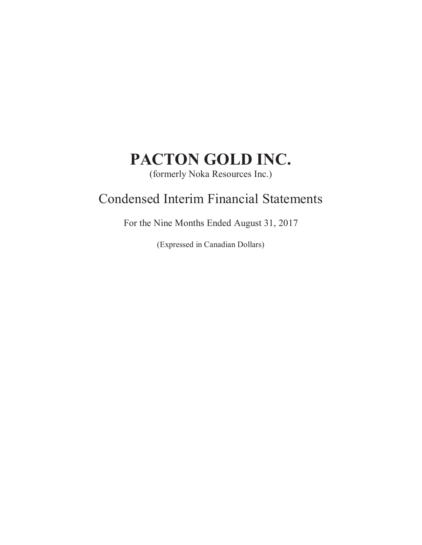(formerly Noka Resources Inc.)

# Condensed Interim Financial Statements

For the Nine Months Ended August 31, 2017

(Expressed in Canadian Dollars)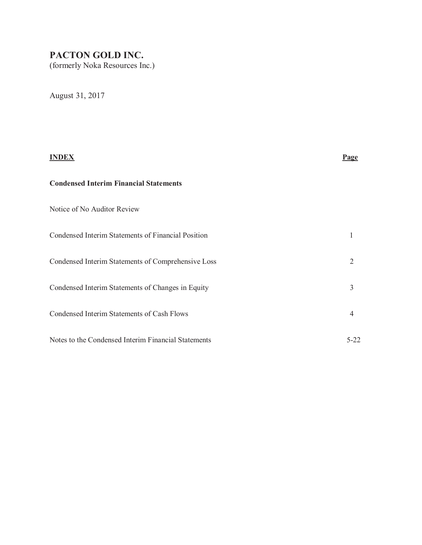(formerly Noka Resources Inc.)

August 31, 2017

# **INDEX Page Condensed Interim Financial Statements**  Notice of No Auditor Review Condensed Interim Statements of Financial Position 1 Condensed Interim Statements of Comprehensive Loss 2 Condensed Interim Statements of Changes in Equity 3 Condensed Interim Statements of Cash Flows 4 Notes to the Condensed Interim Financial Statements 5-22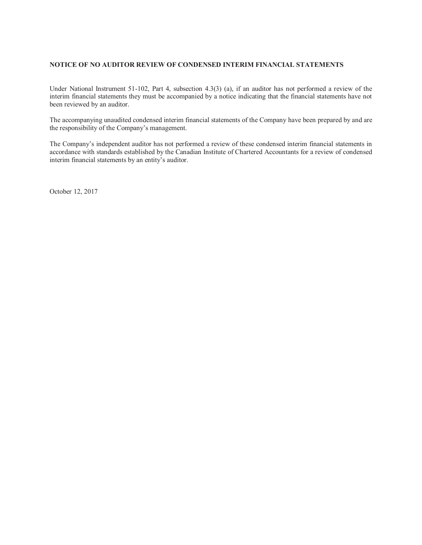### **NOTICE OF NO AUDITOR REVIEW OF CONDENSED INTERIM FINANCIAL STATEMENTS**

Under National Instrument 51-102, Part 4, subsection 4.3(3) (a), if an auditor has not performed a review of the interim financial statements they must be accompanied by a notice indicating that the financial statements have not been reviewed by an auditor.

The accompanying unaudited condensed interim financial statements of the Company have been prepared by and are the responsibility of the Company's management.

The Company's independent auditor has not performed a review of these condensed interim financial statements in accordance with standards established by the Canadian Institute of Chartered Accountants for a review of condensed interim financial statements by an entity's auditor.

October 12, 2017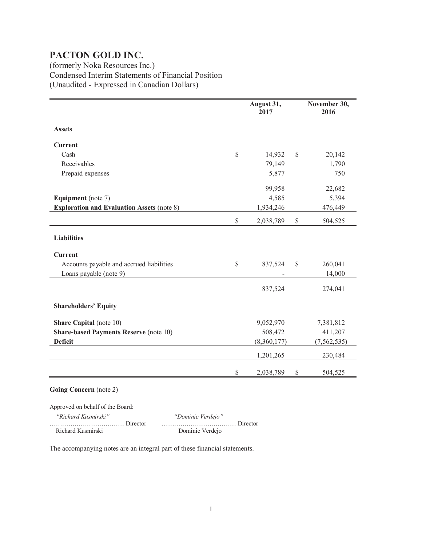(formerly Noka Resources Inc.) Condensed Interim Statements of Financial Position (Unaudited - Expressed in Canadian Dollars)

|                                                   |               | August 31,<br>2017 |               | November 30,<br>2016 |
|---------------------------------------------------|---------------|--------------------|---------------|----------------------|
| <b>Assets</b>                                     |               |                    |               |                      |
| <b>Current</b>                                    |               |                    |               |                      |
| Cash                                              | $\mathcal{S}$ | 14,932             | $\mathcal{S}$ | 20,142               |
| Receivables                                       |               | 79,149             |               | 1,790                |
| Prepaid expenses                                  |               | 5,877              |               | 750                  |
|                                                   |               | 99,958             |               | 22,682               |
| <b>Equipment</b> (note 7)                         |               | 4,585              |               | 5,394                |
| <b>Exploration and Evaluation Assets (note 8)</b> |               | 1,934,246          |               | 476,449              |
|                                                   | $\mathbb{S}$  | 2,038,789          | $\mathbb{S}$  | 504,525              |
| <b>Liabilities</b>                                |               |                    |               |                      |
| <b>Current</b>                                    |               |                    |               |                      |
| Accounts payable and accrued liabilities          | $\mathcal{S}$ | 837,524            | $\mathbb{S}$  | 260,041              |
| Loans payable (note 9)                            |               |                    |               | 14,000               |
|                                                   |               | 837,524            |               | 274,041              |
| <b>Shareholders' Equity</b>                       |               |                    |               |                      |
| <b>Share Capital</b> (note 10)                    |               | 9,052,970          |               | 7,381,812            |
| <b>Share-based Payments Reserve (note 10)</b>     |               | 508,472            |               | 411,207              |
| <b>Deficit</b>                                    |               | (8,360,177)        |               | (7, 562, 535)        |
|                                                   |               | 1,201,265          |               | 230,484              |
|                                                   | $\mathbb{S}$  | 2,038,789          | $\mathbb{S}$  | 504,525              |

### **Going Concern** (note 2)

Approved on behalf of the Board:  *"Richard Kusmirski" "Dominic Verdejo"* ……………………………… Director ……………………………… Director Dominic Verdejo

The accompanying notes are an integral part of these financial statements.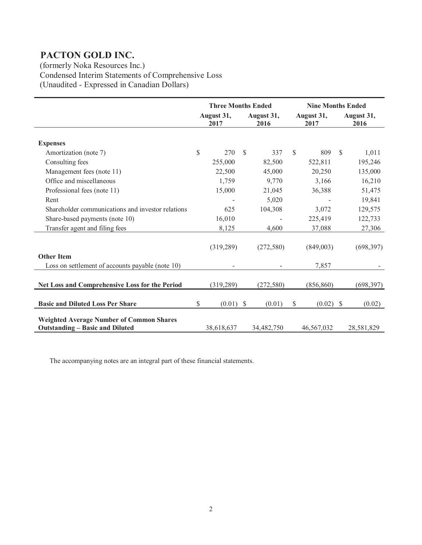(formerly Noka Resources Inc.) Condensed Interim Statements of Comprehensive Loss (Unaudited - Expressed in Canadian Dollars)

|                                                                                           | <b>Three Months Ended</b> |                    |               | <b>Nine Months Ended</b> |               |                    |
|-------------------------------------------------------------------------------------------|---------------------------|--------------------|---------------|--------------------------|---------------|--------------------|
|                                                                                           | August 31,<br>2017        | August 31,<br>2016 |               | August 31,<br>2017       |               | August 31,<br>2016 |
|                                                                                           |                           |                    |               |                          |               |                    |
| <b>Expenses</b>                                                                           |                           |                    |               |                          |               |                    |
| Amortization (note 7)                                                                     | \$<br>270                 | \$<br>337          | <sup>\$</sup> | 809                      | <sup>\$</sup> | 1,011              |
| Consulting fees                                                                           | 255,000                   | 82,500             |               | 522,811                  |               | 195,246            |
| Management fees (note 11)                                                                 | 22,500                    | 45,000             |               | 20,250                   |               | 135,000            |
| Office and miscellaneous                                                                  | 1,759                     | 9,770              |               | 3,166                    |               | 16,210             |
| Professional fees (note 11)                                                               | 15,000                    | 21,045             |               | 36,388                   |               | 51,475             |
| Rent                                                                                      |                           | 5,020              |               |                          |               | 19,841             |
| Shareholder communications and investor relations                                         | 625                       | 104,308            |               | 3,072                    |               | 129,575            |
| Share-based payments (note 10)                                                            | 16,010                    |                    |               | 225,419                  |               | 122,733            |
| Transfer agent and filing fees                                                            | 8,125                     | 4,600              |               | 37,088                   |               | 27,306             |
|                                                                                           |                           |                    |               |                          |               |                    |
|                                                                                           | (319, 289)                | (272, 580)         |               | (849,003)                |               | (698, 397)         |
| <b>Other Item</b>                                                                         |                           |                    |               |                          |               |                    |
| Loss on settlement of accounts payable (note 10)                                          |                           |                    |               | 7,857                    |               |                    |
|                                                                                           |                           |                    |               |                          |               |                    |
| Net Loss and Comprehensive Loss for the Period                                            | (319, 289)                | (272, 580)         |               | (856, 860)               |               | (698, 397)         |
|                                                                                           |                           |                    |               |                          |               |                    |
| <b>Basic and Diluted Loss Per Share</b>                                                   | \$<br>$(0.01)$ \$         | (0.01)             | \$            | $(0.02)$ \$              |               | (0.02)             |
|                                                                                           |                           |                    |               |                          |               |                    |
| <b>Weighted Average Number of Common Shares</b><br><b>Outstanding - Basic and Diluted</b> | 38,618,637                | 34,482,750         |               | 46,567,032               |               | 28,581,829         |

The accompanying notes are an integral part of these financial statements.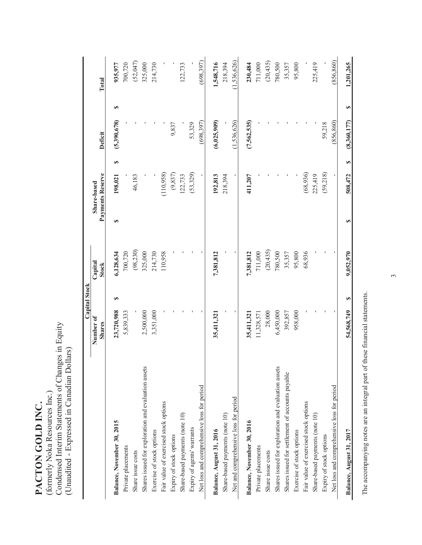| $\sum_{i=1}^{n}$                                              |
|---------------------------------------------------------------|
|                                                               |
|                                                               |
|                                                               |
| í<br>I                                                        |
| くく                                                            |
|                                                               |
|                                                               |
| J                                                             |
| ֓֓֓֓֓֓֓׆֧֧֧֧֧֧֧֧֧֧֧֜֜֜֜֜֜֜֜֜<br>֧֧֧֧֧֧֧֧֧֛֓֓֓֓֓֩֓֓֓֓֩֓֓֜֓֓֜֜֜ |
|                                                               |
|                                                               |
|                                                               |

Condensed Interim Statements of Changes in Equity Condensed Interim Statements of Changes in Equity (Unaudited - Expressed in Canadian Dollars) (Unaudited - Expressed in Canadian Dollars) (formerly Noka Resources Inc.) (formerly Noka Resources Inc.)

|                                                     |               | Capital Stock   |                  |            |         |             |   |               |
|-----------------------------------------------------|---------------|-----------------|------------------|------------|---------|-------------|---|---------------|
|                                                     | Number of     | Capital         | Share-based      |            |         |             |   |               |
|                                                     | <b>Shares</b> | <b>Stock</b>    | Payments Reserve |            | Deficit |             |   | Total         |
| Balance, November 30, 2015                          | 23,720,988    | 6,128,634<br>GA | S                | 198,021    | ∞       | (5,390,678) | S | 935,977       |
| Private placements                                  | 5,839,333     | 700,720         |                  |            |         |             |   | 700,720       |
| Share issue costs                                   |               | (98, 230)       |                  | 46,183     |         |             |   | (52,047)      |
| Shares issued for exploration and evaluation assets | 2,500,000     | 325,000         |                  |            |         |             |   | 325,000       |
| Exercise of stock options                           | 3,351,000     | 214,730         |                  |            |         |             |   | 214,730       |
| Fair value of exercised stock options               |               | 110,958         |                  | (110, 958) |         |             |   |               |
| Expiry of stock options                             |               |                 |                  | (9, 837)   |         | 9,837       |   |               |
| Share-based payments (note 10)                      |               |                 |                  | 122,733    |         |             |   | 122,733       |
| Expiry of agents' warrants                          |               |                 |                  | (53,329)   |         | 53,329      |   |               |
| Net loss and comprehensive loss for period          |               |                 |                  |            |         | (698, 397)  |   | (698, 397)    |
| Balance, August 31, 2016                            | 35,411,321    | 7,381,812       |                  | 192,813    |         | (6,025,909) |   | 1,548,716     |
| Share-based payments (note 10)                      |               |                 |                  | 218,394    |         |             |   | 218,394       |
| Net and comprehensive loss for period               |               |                 |                  |            |         | (1,536,626) |   | (1, 536, 626) |
| Balance, November 30, 2016                          | 35,411,321    | 7,381,812       |                  | 411,207    |         | (7,562,535) |   | 230,484       |
| Private placements                                  | 11,328,571    | 711,000         |                  |            |         |             |   | 711,000       |
| Share issue costs                                   | 28,000        | (20, 435)       |                  |            |         |             |   | (20, 435)     |
| Shares issued for exploration and evaluation assets | 6,450,000     | 780,500         |                  |            |         |             |   | 780,500       |
| Shares issued for settlement of accounts payable    | 392,857       | 35,357          |                  |            |         |             |   | 35,357        |
| Exercise of stock options                           | 958,000       | 95,800          |                  |            |         |             |   | 95,800        |
| Fair value of exercised stock options               |               | 68,936          |                  | (68, 936)  |         |             |   |               |
| Share-based payments (note 10)                      |               |                 |                  | 225,419    |         |             |   | 225,419       |
| Expiry of stock options                             |               |                 |                  | (59,218)   |         | 59,218      |   |               |
| Net loss and comprehensive loss for period          |               |                 |                  |            |         | (856, 860)  |   | (856, 860)    |
| Balance, August 31, 2017                            | 54,568,749    | 9,052,970<br>↮  | Ð                | 508,472    | Ø       | (8,360,177) | S | 1,201,265     |
|                                                     |               |                 |                  |            |         |             |   |               |

The accompanying notes are an integral part of these financial statements. The accompanying notes are an integral part of these financial statements.

 $\tilde{3}$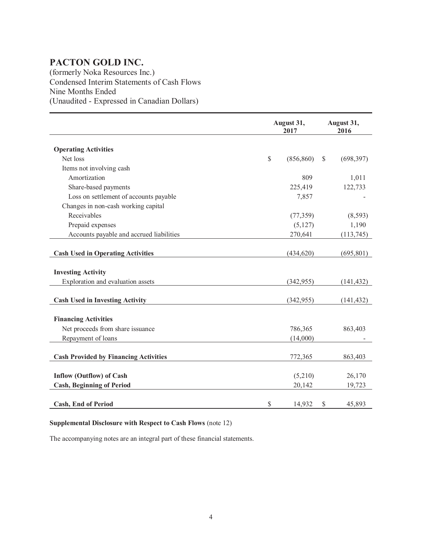(formerly Noka Resources Inc.) Condensed Interim Statements of Cash Flows Nine Months Ended (Unaudited - Expressed in Canadian Dollars)

|                                              |               | August 31,<br>2017 |               | August 31,<br>2016 |
|----------------------------------------------|---------------|--------------------|---------------|--------------------|
| <b>Operating Activities</b>                  |               |                    |               |                    |
| Net loss                                     | $\mathcal{S}$ | (856, 860)         | $\mathcal{S}$ | (698, 397)         |
| Items not involving cash                     |               |                    |               |                    |
| Amortization                                 |               | 809                |               | 1,011              |
| Share-based payments                         |               | 225,419            |               | 122,733            |
| Loss on settlement of accounts payable       |               | 7,857              |               |                    |
| Changes in non-cash working capital          |               |                    |               |                    |
| Receivables                                  |               | (77, 359)          |               | (8,593)            |
| Prepaid expenses                             |               | (5, 127)           |               | 1,190              |
| Accounts payable and accrued liabilities     |               | 270,641            |               | (113,745)          |
|                                              |               |                    |               |                    |
| <b>Cash Used in Operating Activities</b>     |               | (434, 620)         |               | (695, 801)         |
|                                              |               |                    |               |                    |
| <b>Investing Activity</b>                    |               |                    |               |                    |
| Exploration and evaluation assets            |               | (342, 955)         |               | (141, 432)         |
|                                              |               |                    |               |                    |
| <b>Cash Used in Investing Activity</b>       |               | (342, 955)         |               | (141, 432)         |
|                                              |               |                    |               |                    |
| <b>Financing Activities</b>                  |               |                    |               |                    |
| Net proceeds from share issuance             |               | 786,365            |               | 863,403            |
| Repayment of loans                           |               | (14,000)           |               |                    |
|                                              |               |                    |               |                    |
| <b>Cash Provided by Financing Activities</b> |               | 772,365            |               | 863,403            |
|                                              |               |                    |               |                    |
| <b>Inflow (Outflow) of Cash</b>              |               | (5,210)            |               | 26,170             |
| <b>Cash, Beginning of Period</b>             |               | 20,142             |               | 19,723             |
|                                              |               |                    |               |                    |
| <b>Cash, End of Period</b>                   | \$            | 14,932             | \$            | 45,893             |

# **Supplemental Disclosure with Respect to Cash Flows** (note 12)

The accompanying notes are an integral part of these financial statements.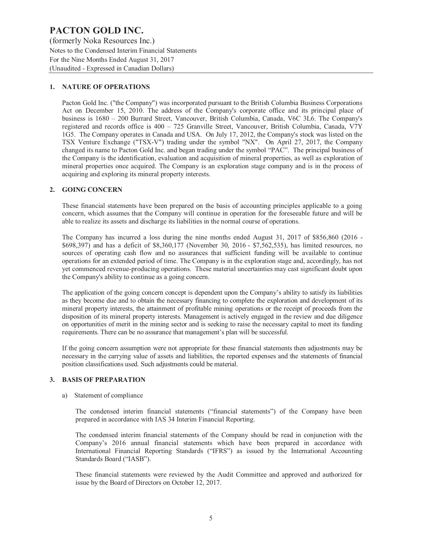(formerly Noka Resources Inc.) Notes to the Condensed Interim Financial Statements For the Nine Months Ended August 31, 2017 (Unaudited - Expressed in Canadian Dollars)

# **1. NATURE OF OPERATIONS**

Pacton Gold Inc. ("the Company") was incorporated pursuant to the British Columbia Business Corporations Act on December 15, 2010. The address of the Company's corporate office and its principal place of business is 1680 – 200 Burrard Street, Vancouver, British Columbia, Canada, V6C 3L6. The Company's registered and records office is 400 – 725 Granville Street, Vancouver, British Columbia, Canada, V7Y 1G5. The Company operates in Canada and USA. On July 17, 2012, the Company's stock was listed on the TSX Venture Exchange ("TSX-V") trading under the symbol "NX". On April 27, 2017, the Company changed its name to Pacton Gold Inc. and began trading under the symbol "PAC". The principal business of the Company is the identification, evaluation and acquisition of mineral properties, as well as exploration of mineral properties once acquired. The Company is an exploration stage company and is in the process of acquiring and exploring its mineral property interests.

### **2. GOING CONCERN**

These financial statements have been prepared on the basis of accounting principles applicable to a going concern, which assumes that the Company will continue in operation for the foreseeable future and will be able to realize its assets and discharge its liabilities in the normal course of operations.

The Company has incurred a loss during the nine months ended August 31, 2017 of \$856,860 (2016 - \$698,397) and has a deficit of \$8,360,177 (November 30, 2016 - \$7,562,535), has limited resources, no sources of operating cash flow and no assurances that sufficient funding will be available to continue operations for an extended period of time. The Company is in the exploration stage and, accordingly, has not yet commenced revenue-producing operations. These material uncertainties may cast significant doubt upon the Company's ability to continue as a going concern.

The application of the going concern concept is dependent upon the Company's ability to satisfy its liabilities as they become due and to obtain the necessary financing to complete the exploration and development of its mineral property interests, the attainment of profitable mining operations or the receipt of proceeds from the disposition of its mineral property interests. Management is actively engaged in the review and due diligence on opportunities of merit in the mining sector and is seeking to raise the necessary capital to meet its funding requirements. There can be no assurance that management's plan will be successful.

If the going concern assumption were not appropriate for these financial statements then adjustments may be necessary in the carrying value of assets and liabilities, the reported expenses and the statements of financial position classifications used. Such adjustments could be material.

### **3. BASIS OF PREPARATION**

### a) Statement of compliance

The condensed interim financial statements ("financial statements") of the Company have been prepared in accordance with IAS 34 Interim Financial Reporting.

The condensed interim financial statements of the Company should be read in conjunction with the Company's 2016 annual financial statements which have been prepared in accordance with International Financial Reporting Standards ("IFRS") as issued by the International Accounting Standards Board ("IASB").

These financial statements were reviewed by the Audit Committee and approved and authorized for issue by the Board of Directors on October 12, 2017.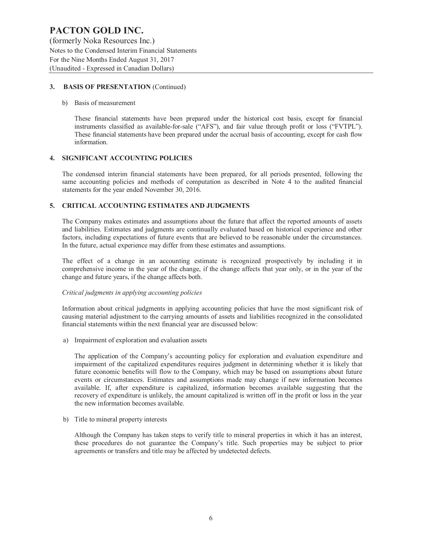(formerly Noka Resources Inc.) Notes to the Condensed Interim Financial Statements For the Nine Months Ended August 31, 2017 (Unaudited - Expressed in Canadian Dollars)

# **3. BASIS OF PRESENTATION** (Continued)

### b) Basis of measurement

These financial statements have been prepared under the historical cost basis, except for financial instruments classified as available-for-sale ("AFS"), and fair value through profit or loss ("FVTPL"). These financial statements have been prepared under the accrual basis of accounting, except for cash flow information.

# **4. SIGNIFICANT ACCOUNTING POLICIES**

The condensed interim financial statements have been prepared, for all periods presented, following the same accounting policies and methods of computation as described in Note 4 to the audited financial statements for the year ended November 30, 2016.

# **5. CRITICAL ACCOUNTING ESTIMATES AND JUDGMENTS**

The Company makes estimates and assumptions about the future that affect the reported amounts of assets and liabilities. Estimates and judgments are continually evaluated based on historical experience and other factors, including expectations of future events that are believed to be reasonable under the circumstances. In the future, actual experience may differ from these estimates and assumptions.

The effect of a change in an accounting estimate is recognized prospectively by including it in comprehensive income in the year of the change, if the change affects that year only, or in the year of the change and future years, if the change affects both.

# *Critical judgments in applying accounting policies*

Information about critical judgments in applying accounting policies that have the most significant risk of causing material adjustment to the carrying amounts of assets and liabilities recognized in the consolidated financial statements within the next financial year are discussed below:

a) Impairment of exploration and evaluation assets

The application of the Company's accounting policy for exploration and evaluation expenditure and impairment of the capitalized expenditures requires judgment in determining whether it is likely that future economic benefits will flow to the Company, which may be based on assumptions about future events or circumstances. Estimates and assumptions made may change if new information becomes available. If, after expenditure is capitalized, information becomes available suggesting that the recovery of expenditure is unlikely, the amount capitalized is written off in the profit or loss in the year the new information becomes available.

b) Title to mineral property interests

Although the Company has taken steps to verify title to mineral properties in which it has an interest, these procedures do not guarantee the Company's title. Such properties may be subject to prior agreements or transfers and title may be affected by undetected defects.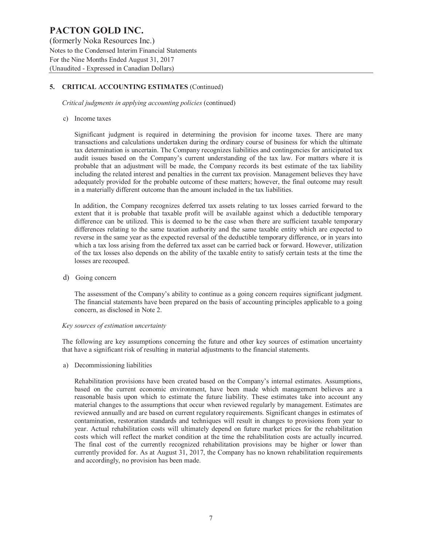(formerly Noka Resources Inc.) Notes to the Condensed Interim Financial Statements For the Nine Months Ended August 31, 2017 (Unaudited - Expressed in Canadian Dollars)

# **5. CRITICAL ACCOUNTING ESTIMATES** (Continued)

*Critical judgments in applying accounting policies* (continued)

### c) Income taxes

Significant judgment is required in determining the provision for income taxes. There are many transactions and calculations undertaken during the ordinary course of business for which the ultimate tax determination is uncertain. The Company recognizes liabilities and contingencies for anticipated tax audit issues based on the Company's current understanding of the tax law. For matters where it is probable that an adjustment will be made, the Company records its best estimate of the tax liability including the related interest and penalties in the current tax provision. Management believes they have adequately provided for the probable outcome of these matters; however, the final outcome may result in a materially different outcome than the amount included in the tax liabilities.

In addition, the Company recognizes deferred tax assets relating to tax losses carried forward to the extent that it is probable that taxable profit will be available against which a deductible temporary difference can be utilized. This is deemed to be the case when there are sufficient taxable temporary differences relating to the same taxation authority and the same taxable entity which are expected to reverse in the same year as the expected reversal of the deductible temporary difference, or in years into which a tax loss arising from the deferred tax asset can be carried back or forward. However, utilization of the tax losses also depends on the ability of the taxable entity to satisfy certain tests at the time the losses are recouped.

d) Going concern

The assessment of the Company's ability to continue as a going concern requires significant judgment. The financial statements have been prepared on the basis of accounting principles applicable to a going concern, as disclosed in Note 2.

### *Key sources of estimation uncertainty*

The following are key assumptions concerning the future and other key sources of estimation uncertainty that have a significant risk of resulting in material adjustments to the financial statements.

a) Decommissioning liabilities

Rehabilitation provisions have been created based on the Company's internal estimates. Assumptions, based on the current economic environment, have been made which management believes are a reasonable basis upon which to estimate the future liability. These estimates take into account any material changes to the assumptions that occur when reviewed regularly by management. Estimates are reviewed annually and are based on current regulatory requirements. Significant changes in estimates of contamination, restoration standards and techniques will result in changes to provisions from year to year. Actual rehabilitation costs will ultimately depend on future market prices for the rehabilitation costs which will reflect the market condition at the time the rehabilitation costs are actually incurred. The final cost of the currently recognized rehabilitation provisions may be higher or lower than currently provided for. As at August 31, 2017, the Company has no known rehabilitation requirements and accordingly, no provision has been made.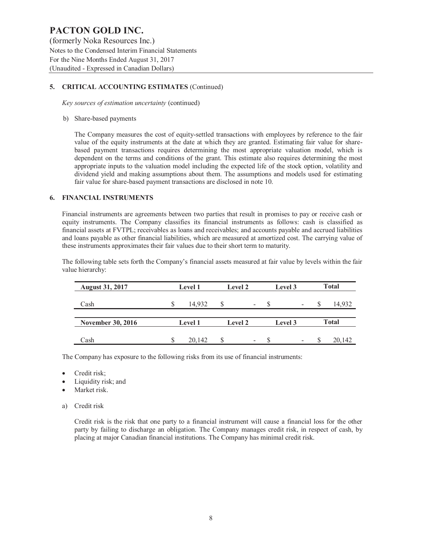(formerly Noka Resources Inc.) Notes to the Condensed Interim Financial Statements For the Nine Months Ended August 31, 2017 (Unaudited - Expressed in Canadian Dollars)

# **5. CRITICAL ACCOUNTING ESTIMATES** (Continued)

*Key sources of estimation uncertainty* (continued)

### b) Share-based payments

The Company measures the cost of equity-settled transactions with employees by reference to the fair value of the equity instruments at the date at which they are granted. Estimating fair value for sharebased payment transactions requires determining the most appropriate valuation model, which is dependent on the terms and conditions of the grant. This estimate also requires determining the most appropriate inputs to the valuation model including the expected life of the stock option, volatility and dividend yield and making assumptions about them. The assumptions and models used for estimating fair value for share-based payment transactions are disclosed in note 10.

### **6. FINANCIAL INSTRUMENTS**

Financial instruments are agreements between two parties that result in promises to pay or receive cash or equity instruments. The Company classifies its financial instruments as follows: cash is classified as financial assets at FVTPL; receivables as loans and receivables; and accounts payable and accrued liabilities and loans payable as other financial liabilities, which are measured at amortized cost. The carrying value of these instruments approximates their fair values due to their short term to maturity.

The following table sets forth the Company's financial assets measured at fair value by levels within the fair value hierarchy:

| <b>August 31, 2017</b>   | <b>Level 1</b> | Level 2 |                          | Level 3 |                          | <b>Total</b> |
|--------------------------|----------------|---------|--------------------------|---------|--------------------------|--------------|
| Cash                     | 14.932         | S       | $\overline{\phantom{a}}$ |         | $\overline{\phantom{a}}$ | 14,932       |
| <b>November 30, 2016</b> | <b>Level 1</b> | Level 2 |                          | Level 3 |                          | <b>Total</b> |
| Cash                     | 20,142         | S       | $\overline{\phantom{a}}$ |         | $\overline{\phantom{a}}$ | 20,142       |

The Company has exposure to the following risks from its use of financial instruments:

- Credit risk;
- Liquidity risk; and
- Market risk.
- a) Credit risk

Credit risk is the risk that one party to a financial instrument will cause a financial loss for the other party by failing to discharge an obligation. The Company manages credit risk, in respect of cash, by placing at major Canadian financial institutions. The Company has minimal credit risk.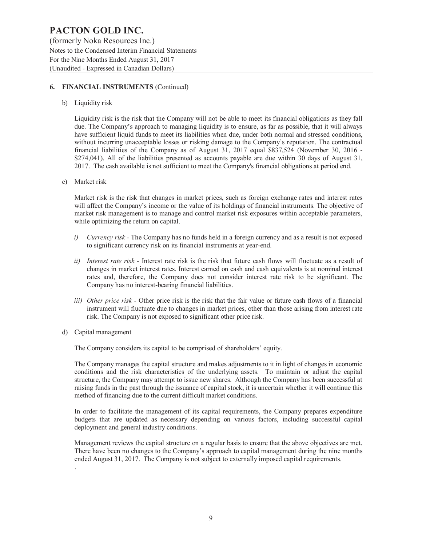(formerly Noka Resources Inc.) Notes to the Condensed Interim Financial Statements For the Nine Months Ended August 31, 2017 (Unaudited - Expressed in Canadian Dollars)

### **6. FINANCIAL INSTRUMENTS** (Continued)

b) Liquidity risk

Liquidity risk is the risk that the Company will not be able to meet its financial obligations as they fall due. The Company's approach to managing liquidity is to ensure, as far as possible, that it will always have sufficient liquid funds to meet its liabilities when due, under both normal and stressed conditions, without incurring unacceptable losses or risking damage to the Company's reputation. The contractual financial liabilities of the Company as of August 31, 2017 equal \$837,524 (November 30, 2016 - \$274,041). All of the liabilities presented as accounts payable are due within 30 days of August 31, 2017. The cash available is not sufficient to meet the Company's financial obligations at period end.

c) Market risk

Market risk is the risk that changes in market prices, such as foreign exchange rates and interest rates will affect the Company's income or the value of its holdings of financial instruments. The objective of market risk management is to manage and control market risk exposures within acceptable parameters, while optimizing the return on capital.

- *i) Currency risk* The Company has no funds held in a foreign currency and as a result is not exposed to significant currency risk on its financial instruments at year-end.
- *ii) Interest rate risk* Interest rate risk is the risk that future cash flows will fluctuate as a result of changes in market interest rates. Interest earned on cash and cash equivalents is at nominal interest rates and, therefore, the Company does not consider interest rate risk to be significant. The Company has no interest-bearing financial liabilities.
- *iii) Other price risk* Other price risk is the risk that the fair value or future cash flows of a financial instrument will fluctuate due to changes in market prices, other than those arising from interest rate risk. The Company is not exposed to significant other price risk.
- d) Capital management

.

The Company considers its capital to be comprised of shareholders' equity.

The Company manages the capital structure and makes adjustments to it in light of changes in economic conditions and the risk characteristics of the underlying assets. To maintain or adjust the capital structure, the Company may attempt to issue new shares. Although the Company has been successful at raising funds in the past through the issuance of capital stock, it is uncertain whether it will continue this method of financing due to the current difficult market conditions.

In order to facilitate the management of its capital requirements, the Company prepares expenditure budgets that are updated as necessary depending on various factors, including successful capital deployment and general industry conditions.

Management reviews the capital structure on a regular basis to ensure that the above objectives are met. There have been no changes to the Company's approach to capital management during the nine months ended August 31, 2017. The Company is not subject to externally imposed capital requirements.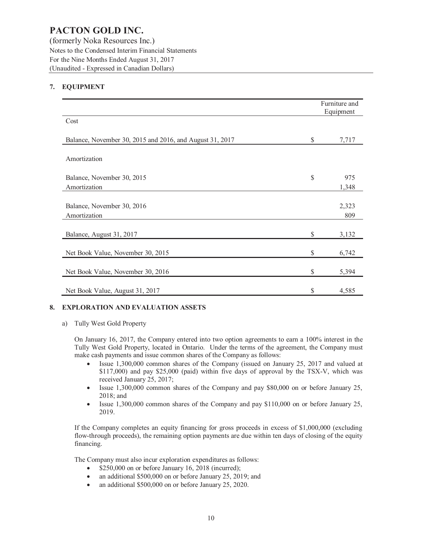(formerly Noka Resources Inc.) Notes to the Condensed Interim Financial Statements For the Nine Months Ended August 31, 2017 (Unaudited - Expressed in Canadian Dollars)

# **7. EQUIPMENT**

|                                                          | Furniture and<br>Equipment |
|----------------------------------------------------------|----------------------------|
| Cost                                                     |                            |
| Balance, November 30, 2015 and 2016, and August 31, 2017 | \$<br>7,717                |
| Amortization                                             |                            |
| Balance, November 30, 2015                               | \$<br>975                  |
| Amortization                                             | 1,348                      |
| Balance, November 30, 2016<br>Amortization               | 2,323<br>809               |
| Balance, August 31, 2017                                 | \$<br>3,132                |
| Net Book Value, November 30, 2015                        | \$<br>6,742                |
| Net Book Value, November 30, 2016                        | \$<br>5,394                |
| Net Book Value, August 31, 2017                          | \$<br>4,585                |

# **8. EXPLORATION AND EVALUATION ASSETS**

a) Tully West Gold Property

On January 16, 2017, the Company entered into two option agreements to earn a 100% interest in the Tully West Gold Property, located in Ontario. Under the terms of the agreement, the Company must make cash payments and issue common shares of the Company as follows:

- Issue 1,300,000 common shares of the Company (issued on January 25, 2017 and valued at \$117,000) and pay \$25,000 (paid) within five days of approval by the TSX-V, which was received January 25, 2017;
- · Issue 1,300,000 common shares of the Company and pay \$80,000 on or before January 25, 2018; and
- Issue 1,300,000 common shares of the Company and pay \$110,000 on or before January 25, 2019.

If the Company completes an equity financing for gross proceeds in excess of \$1,000,000 (excluding flow-through proceeds), the remaining option payments are due within ten days of closing of the equity financing.

The Company must also incur exploration expenditures as follows:

- \$250,000 on or before January 16, 2018 (incurred);
- an additional \$500,000 on or before January 25, 2019; and
- an additional \$500,000 on or before January 25, 2020.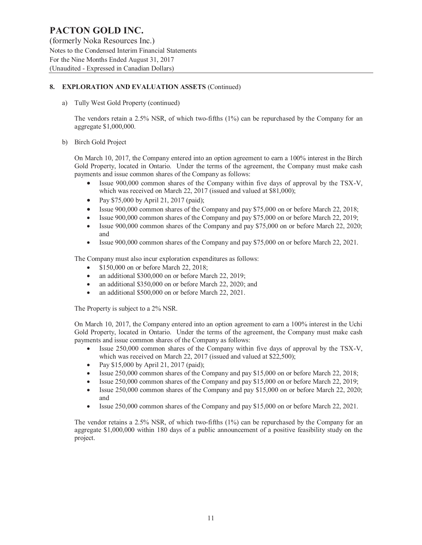# **8. EXPLORATION AND EVALUATION ASSETS** (Continued)

a) Tully West Gold Property (continued)

The vendors retain a 2.5% NSR, of which two-fifths (1%) can be repurchased by the Company for an aggregate \$1,000,000.

b) Birch Gold Project

On March 10, 2017, the Company entered into an option agreement to earn a 100% interest in the Birch Gold Property, located in Ontario. Under the terms of the agreement, the Company must make cash payments and issue common shares of the Company as follows:

- Issue 900,000 common shares of the Company within five days of approval by the TSX-V, which was received on March 22, 2017 (issued and valued at \$81,000);
- Pay \$75,000 by April 21, 2017 (paid);
- Issue 900,000 common shares of the Company and pay \$75,000 on or before March 22, 2018;
- Issue 900,000 common shares of the Company and pay \$75,000 on or before March 22, 2019;
- Issue 900,000 common shares of the Company and pay \$75,000 on or before March 22, 2020; and
- · Issue 900,000 common shares of the Company and pay \$75,000 on or before March 22, 2021.

The Company must also incur exploration expenditures as follows:

- \$150,000 on or before March 22, 2018;
- an additional \$300,000 on or before March 22, 2019;
- an additional \$350,000 on or before March 22, 2020; and
- an additional \$500,000 on or before March 22, 2021.

The Property is subject to a 2% NSR.

On March 10, 2017, the Company entered into an option agreement to earn a 100% interest in the Uchi Gold Property, located in Ontario. Under the terms of the agreement, the Company must make cash payments and issue common shares of the Company as follows:

- Issue 250,000 common shares of the Company within five days of approval by the TSX-V, which was received on March 22, 2017 (issued and valued at \$22,500);
- Pay \$15,000 by April 21, 2017 (paid);
- · Issue 250,000 common shares of the Company and pay \$15,000 on or before March 22, 2018;
- Issue 250,000 common shares of the Company and pay \$15,000 on or before March 22, 2019;
- · Issue 250,000 common shares of the Company and pay \$15,000 on or before March 22, 2020; and
- Issue 250,000 common shares of the Company and pay \$15,000 on or before March 22, 2021.

The vendor retains a 2.5% NSR, of which two-fifths (1%) can be repurchased by the Company for an aggregate \$1,000,000 within 180 days of a public announcement of a positive feasibility study on the project.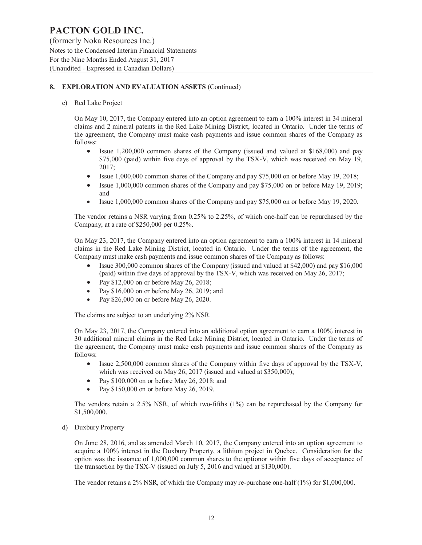(formerly Noka Resources Inc.) Notes to the Condensed Interim Financial Statements For the Nine Months Ended August 31, 2017 (Unaudited - Expressed in Canadian Dollars)

# **8. EXPLORATION AND EVALUATION ASSETS** (Continued)

### c) Red Lake Project

On May 10, 2017, the Company entered into an option agreement to earn a 100% interest in 34 mineral claims and 2 mineral patents in the Red Lake Mining District, located in Ontario. Under the terms of the agreement, the Company must make cash payments and issue common shares of the Company as follows:

- Issue 1,200,000 common shares of the Company (issued and valued at \$168,000) and pay \$75,000 (paid) within five days of approval by the TSX-V, which was received on May 19, 2017;
- Issue 1,000,000 common shares of the Company and pay \$75,000 on or before May 19, 2018;
- Issue 1,000,000 common shares of the Company and pay \$75,000 on or before May 19, 2019; and
- · Issue 1,000,000 common shares of the Company and pay \$75,000 on or before May 19, 2020.

The vendor retains a NSR varying from 0.25% to 2.25%, of which one-half can be repurchased by the Company, at a rate of \$250,000 per 0.25%.

On May 23, 2017, the Company entered into an option agreement to earn a 100% interest in 14 mineral claims in the Red Lake Mining District, located in Ontario. Under the terms of the agreement, the Company must make cash payments and issue common shares of the Company as follows:

- Issue 300,000 common shares of the Company (issued and valued at \$42,000) and pay \$16,000 (paid) within five days of approval by the TSX-V, which was received on May 26, 2017;
- Pay  $$12,000$  on or before May 26, 2018;
- Pay \$16,000 on or before May 26, 2019; and
- Pay \$26,000 on or before May 26, 2020.

The claims are subject to an underlying 2% NSR.

On May 23, 2017, the Company entered into an additional option agreement to earn a 100% interest in 30 additional mineral claims in the Red Lake Mining District, located in Ontario. Under the terms of the agreement, the Company must make cash payments and issue common shares of the Company as follows:

- Issue 2,500,000 common shares of the Company within five days of approval by the TSX-V, which was received on May 26, 2017 (issued and valued at \$350,000);
- Pay \$100,000 on or before May 26, 2018; and
- Pay \$150,000 on or before May 26, 2019.

The vendors retain a 2.5% NSR, of which two-fifths (1%) can be repurchased by the Company for \$1,500,000.

d) Duxbury Property

On June 28, 2016, and as amended March 10, 2017, the Company entered into an option agreement to acquire a 100% interest in the Duxbury Property, a lithium project in Quebec. Consideration for the option was the issuance of 1,000,000 common shares to the optionor within five days of acceptance of the transaction by the TSX-V (issued on July 5, 2016 and valued at \$130,000).

The vendor retains a 2% NSR, of which the Company may re-purchase one-half (1%) for \$1,000,000.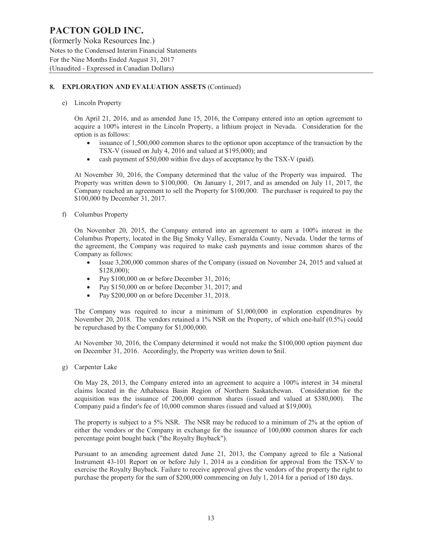(formerly Noka Resources Inc.) Notes to the Condensed Interim Financial Statements For the Nine Months Ended August 31, 2017 (Unaudited - Expressed in Canadian Dollars)

# **8. EXPLORATION AND EVALUATION ASSETS** (Continued)

e) Lincoln Property

On April 21, 2016, and as amended June 15, 2016, the Company entered into an option agreement to acquire a 100% interest in the Lincoln Property, a lithium project in Nevada. Consideration for the option is as follows:

- issuance of 1,500,000 common shares to the optionor upon acceptance of the transaction by the TSX-V (issued on July 4, 2016 and valued at \$195,000); and
- cash payment of \$50,000 within five days of acceptance by the TSX-V (paid).

At November 30, 2016, the Company determined that the value of the Property was impaired. The Property was written down to \$100,000. On January 1, 2017, and as amended on July 11, 2017, the Company reached an agreement to sell the Property for \$100,000. The purchaser is required to pay the \$100,000 by December 31, 2017.

f) Columbus Property

On November 20, 2015, the Company entered into an agreement to earn a 100% interest in the Columbus Property, located in the Big Smoky Valley, Esmeralda County, Nevada. Under the terms of the agreement, the Company was required to make cash payments and issue common shares of the Company as follows:

- Issue 3,200,000 common shares of the Company (issued on November 24, 2015 and valued at \$128,000);
- Pay \$100,000 on or before December 31, 2016;
- Pay \$150,000 on or before December 31, 2017; and
- Pay \$200,000 on or before December 31, 2018.

The Company was required to incur a minimum of \$1,000,000 in exploration expenditures by November 20, 2018. The vendors retained a 1% NSR on the Property, of which one-half (0.5%) could be repurchased by the Company for \$1,000,000.

At November 30, 2016, the Company determined it would not make the \$100,000 option payment due on December 31, 2016. Accordingly, the Property was written down to \$nil.

g) Carpenter Lake

On May 28, 2013, the Company entered into an agreement to acquire a 100% interest in 34 mineral claims located in the Athabasca Basin Region of Northern Saskatchewan. Consideration for the acquisition was the issuance of 200,000 common shares (issued and valued at \$380,000). The Company paid a finder's fee of 10,000 common shares (issued and valued at \$19,000).

The property is subject to a 5% NSR. The NSR may be reduced to a minimum of 2% at the option of either the vendors or the Company in exchange for the issuance of 100,000 common shares for each percentage point bought back ("the Royalty Buyback").

Pursuant to an amending agreement dated June 21, 2013, the Company agreed to file a National Instrument 43-101 Report on or before July 1, 2014 as a condition for approval from the TSX-V to exercise the Royalty Buyback. Failure to receive approval gives the vendors of the property the right to purchase the property for the sum of \$200,000 commencing on July 1, 2014 for a period of 180 days.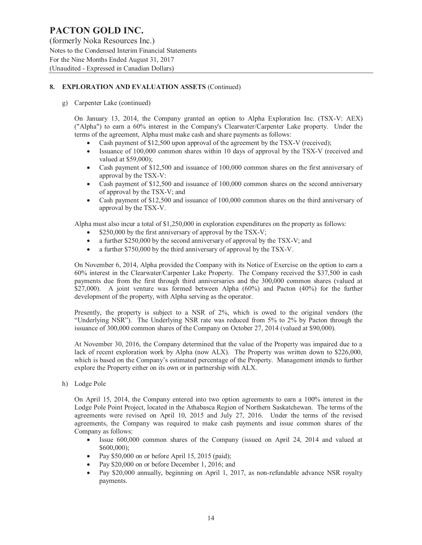(formerly Noka Resources Inc.) Notes to the Condensed Interim Financial Statements For the Nine Months Ended August 31, 2017 (Unaudited - Expressed in Canadian Dollars)

# **8. EXPLORATION AND EVALUATION ASSETS** (Continued)

g) Carpenter Lake (continued)

On January 13, 2014, the Company granted an option to Alpha Exploration Inc. (TSX-V: AEX) ("Alpha") to earn a 60% interest in the Company's Clearwater/Carpenter Lake property. Under the terms of the agreement, Alpha must make cash and share payments as follows:

- Cash payment of \$12,500 upon approval of the agreement by the TSX-V (received);
- Issuance of 100,000 common shares within 10 days of approval by the TSX-V (received and valued at \$59,000);
- · Cash payment of \$12,500 and issuance of 100,000 common shares on the first anniversary of approval by the TSX-V:
- Cash payment of \$12,500 and issuance of 100,000 common shares on the second anniversary of approval by the TSX-V; and
- Cash payment of \$12,500 and issuance of 100,000 common shares on the third anniversary of approval by the TSX-V.

Alpha must also incur a total of \$1,250,000 in exploration expenditures on the property as follows:

- $$250,000$  by the first anniversary of approval by the TSX-V;
- a further \$250,000 by the second anniversary of approval by the TSX-V; and
- a further \$750,000 by the third anniversary of approval by the TSX-V.

On November 6, 2014, Alpha provided the Company with its Notice of Exercise on the option to earn a 60% interest in the Clearwater/Carpenter Lake Property. The Company received the \$37,500 in cash payments due from the first through third anniversaries and the 300,000 common shares (valued at \$27,000). A joint venture was formed between Alpha (60%) and Pacton (40%) for the further development of the property, with Alpha serving as the operator.

Presently, the property is subject to a NSR of 2%, which is owed to the original vendors (the "Underlying NSR"). The Underlying NSR rate was reduced from 5% to 2% by Pacton through the issuance of 300,000 common shares of the Company on October 27, 2014 (valued at \$90,000).

At November 30, 2016, the Company determined that the value of the Property was impaired due to a lack of recent exploration work by Alpha (now ALX). The Property was written down to \$226,000, which is based on the Company's estimated percentage of the Property. Management intends to further explore the Property either on its own or in partnership with ALX.

h) Lodge Pole

On April 15, 2014, the Company entered into two option agreements to earn a 100% interest in the Lodge Pole Point Project, located in the Athabasca Region of Northern Saskatchewan. The terms of the agreements were revised on April 10, 2015 and July 27, 2016. Under the terms of the revised agreements, the Company was required to make cash payments and issue common shares of the Company as follows:

- · Issue 600,000 common shares of the Company (issued on April 24, 2014 and valued at \$600,000);
- Pay  $$50,000$  on or before April 15, 2015 (paid);
- Pay \$20,000 on or before December 1, 2016; and
- Pay \$20,000 annually, beginning on April 1, 2017, as non-refundable advance NSR royalty payments.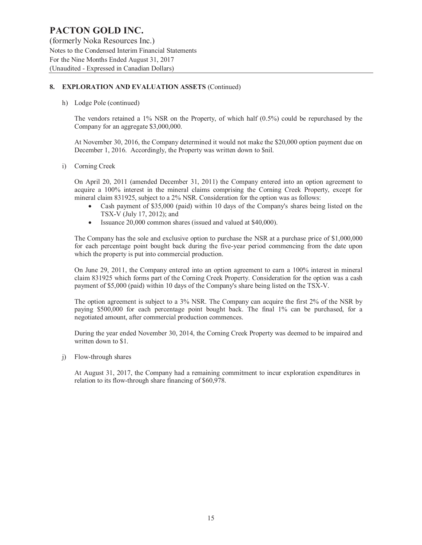(formerly Noka Resources Inc.) Notes to the Condensed Interim Financial Statements For the Nine Months Ended August 31, 2017 (Unaudited - Expressed in Canadian Dollars)

# **8. EXPLORATION AND EVALUATION ASSETS** (Continued)

h) Lodge Pole (continued)

The vendors retained a  $1\%$  NSR on the Property, of which half  $(0.5\%)$  could be repurchased by the Company for an aggregate \$3,000,000.

At November 30, 2016, the Company determined it would not make the \$20,000 option payment due on December 1, 2016. Accordingly, the Property was written down to \$nil.

i) Corning Creek

On April 20, 2011 (amended December 31, 2011) the Company entered into an option agreement to acquire a 100% interest in the mineral claims comprising the Corning Creek Property, except for mineral claim 831925, subject to a 2% NSR. Consideration for the option was as follows:

- Cash payment of \$35,000 (paid) within 10 days of the Company's shares being listed on the TSX-V (July 17, 2012); and
- Issuance 20,000 common shares (issued and valued at \$40,000).

The Company has the sole and exclusive option to purchase the NSR at a purchase price of \$1,000,000 for each percentage point bought back during the five-year period commencing from the date upon which the property is put into commercial production.

On June 29, 2011, the Company entered into an option agreement to earn a 100% interest in mineral claim 831925 which forms part of the Corning Creek Property. Consideration for the option was a cash payment of \$5,000 (paid) within 10 days of the Company's share being listed on the TSX-V.

The option agreement is subject to a 3% NSR. The Company can acquire the first 2% of the NSR by paying \$500,000 for each percentage point bought back. The final 1% can be purchased, for a negotiated amount, after commercial production commences.

During the year ended November 30, 2014, the Corning Creek Property was deemed to be impaired and written down to \$1.

j) Flow-through shares

At August 31, 2017, the Company had a remaining commitment to incur exploration expenditures in relation to its flow-through share financing of \$60,978.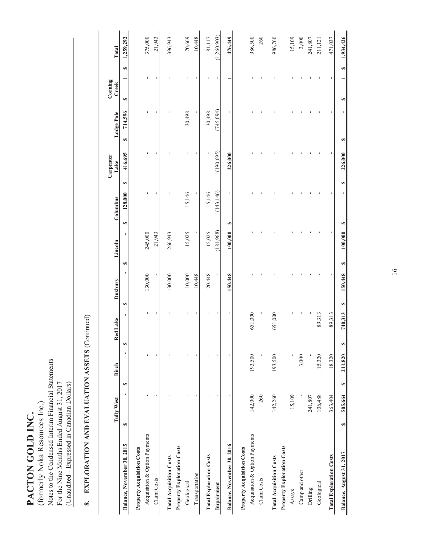PACTON GOLD INC. **PACTON GOLD INC.** 

Notes to the Condensed Interim Financial Statements Notes to the Condensed Interim Financial Statements For the Nine Months Ended August 31, 2017 For the Nine Months Ended August 31, 2017 (Unaudited - Expressed in Canadian Dollars) (Unaudited - Expressed in Canadian Dollars) (formerly Noka Resources Inc.) (formerly Noka Resources Inc.)

# 8. EXPLORATION AND EVALUATION ASSETS (Continued) **8. EXPLORATION AND EVALUATION ASSETS** (Continued)

|                                   | Tully West    |   | Birch   |   | Red Lake | <b>Duxbury</b> |   | Lincoln   | Columbus      |    | Carpenter<br>Lake | Lodge Pole    | Corning<br>Creek |   | Total       |
|-----------------------------------|---------------|---|---------|---|----------|----------------|---|-----------|---------------|----|-------------------|---------------|------------------|---|-------------|
| Balance, November 30, 2015        | Ø             | S |         | Ø |          | Ø              | Ø |           | 128,000<br>GĄ | SĄ | 416,695           | 714,596<br>Đ, | Đ,               | Ø | 1,259,292   |
| Property Acquisition Costs        |               |   |         |   |          |                |   |           |               |    |                   |               |                  |   |             |
| Acquisition & Option Payments     |               |   |         |   |          | 130,000        |   | 245,000   |               |    |                   |               |                  |   | 375,000     |
| Claim Costs                       |               |   | ı       |   |          |                |   | 21,943    |               |    |                   |               |                  |   | 21,943      |
| <b>Total Acquisition Costs</b>    |               |   |         |   |          | 130,000        |   | 266,943   |               |    |                   |               |                  |   | 396,943     |
| Property Exploration Costs        |               |   |         |   |          |                |   |           |               |    |                   |               |                  |   |             |
| Geological                        |               |   |         |   |          | 10,000         |   | 15,025    | 15,146        |    |                   | 30,498        |                  |   | 70,669      |
| Transportation                    |               |   |         |   |          | 10,448         |   |           |               |    |                   |               |                  |   | 10,448      |
| <b>Total Exploration Costs</b>    |               |   |         |   |          | 20,448         |   | 15,025    | 15,146        |    |                   | 30,498        |                  |   | 81,117      |
| Impairment                        |               |   |         |   |          |                |   | (181,968) | (143, 146)    |    | (190, 695)        | (745, 094)    |                  |   | (1,260,903) |
| Balance, November 30, 2016        |               |   |         |   |          | 150,448        |   | 100,000   | S             |    | 226,000           |               |                  |   | 476,449     |
| <b>Property Acquisition Costs</b> |               |   |         |   |          |                |   |           |               |    |                   |               |                  |   |             |
| Acquisition & Option Payments     | 142,000       |   | 193,500 |   | 651,000  |                |   |           |               |    |                   |               |                  |   | 986,500     |
| Claim Costs                       | 260           |   | ı       |   |          |                |   |           |               |    |                   |               |                  |   | 260         |
| <b>Total Acquisition Costs</b>    | 142,260       |   | 193,500 |   | 651,000  |                |   |           |               |    |                   |               |                  |   | 986,760     |
| <b>Property Exploration Costs</b> |               |   |         |   |          |                |   |           |               |    |                   |               |                  |   |             |
| Assays                            | 15,109        |   |         |   |          |                |   |           |               |    |                   |               |                  |   | 15,109      |
| Camp and other                    |               |   | 3,000   |   |          |                |   |           |               |    |                   |               |                  |   | 3,000       |
| Drilling                          | 241,807       |   |         |   |          |                |   |           |               |    |                   |               |                  |   | 241,807     |
| Geological                        | 106,488       |   | 15,320  |   | 89,313   |                |   |           |               |    |                   |               |                  |   | 211,121     |
| <b>Total Exploration Costs</b>    | 363,404       |   | 18,320  |   | 89,313   |                |   |           |               |    |                   |               |                  |   | 471,037     |
| Balance, August 31, 2017          | 505,664<br>GB | œ | 211,820 | œ | 740,313  | 150,448<br>Ø   | Ø | 100,000   | œ             | Ø  | 226,000           | œ             | GB               | S | 1,934,426   |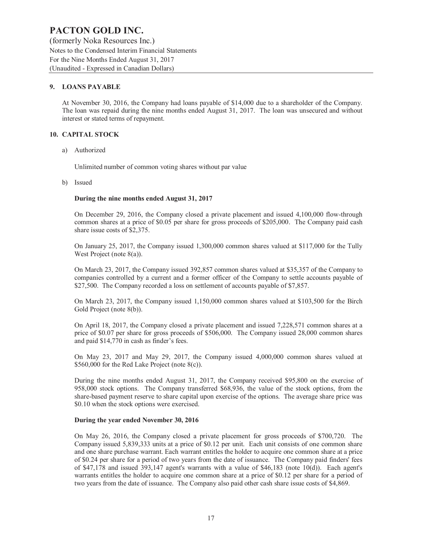(formerly Noka Resources Inc.) Notes to the Condensed Interim Financial Statements For the Nine Months Ended August 31, 2017 (Unaudited - Expressed in Canadian Dollars)

# **9. LOANS PAYABLE**

At November 30, 2016, the Company had loans payable of \$14,000 due to a shareholder of the Company. The loan was repaid during the nine months ended August 31, 2017. The loan was unsecured and without interest or stated terms of repayment.

### **10. CAPITAL STOCK**

a) Authorized

Unlimited number of common voting shares without par value

b) Issued

### **During the nine months ended August 31, 2017**

On December 29, 2016, the Company closed a private placement and issued 4,100,000 flow-through common shares at a price of \$0.05 per share for gross proceeds of \$205,000. The Company paid cash share issue costs of \$2,375.

On January 25, 2017, the Company issued 1,300,000 common shares valued at \$117,000 for the Tully West Project (note 8(a)).

On March 23, 2017, the Company issued 392,857 common shares valued at \$35,357 of the Company to companies controlled by a current and a former officer of the Company to settle accounts payable of \$27,500. The Company recorded a loss on settlement of accounts payable of \$7,857.

On March 23, 2017, the Company issued 1,150,000 common shares valued at \$103,500 for the Birch Gold Project (note 8(b)).

On April 18, 2017, the Company closed a private placement and issued 7,228,571 common shares at a price of \$0.07 per share for gross proceeds of \$506,000. The Company issued 28,000 common shares and paid \$14,770 in cash as finder's fees.

On May 23, 2017 and May 29, 2017, the Company issued 4,000,000 common shares valued at \$560,000 for the Red Lake Project (note 8(c)).

During the nine months ended August 31, 2017, the Company received \$95,800 on the exercise of 958,000 stock options. The Company transferred \$68,936, the value of the stock options, from the share-based payment reserve to share capital upon exercise of the options. The average share price was \$0.10 when the stock options were exercised.

### **During the year ended November 30, 2016**

On May 26, 2016, the Company closed a private placement for gross proceeds of \$700,720. The Company issued 5,839,333 units at a price of \$0.12 per unit. Each unit consists of one common share and one share purchase warrant. Each warrant entitles the holder to acquire one common share at a price of \$0.24 per share for a period of two years from the date of issuance. The Company paid finders' fees of \$47,178 and issued 393,147 agent's warrants with a value of \$46,183 (note 10(d)). Each agent's warrants entitles the holder to acquire one common share at a price of \$0.12 per share for a period of two years from the date of issuance. The Company also paid other cash share issue costs of \$4,869.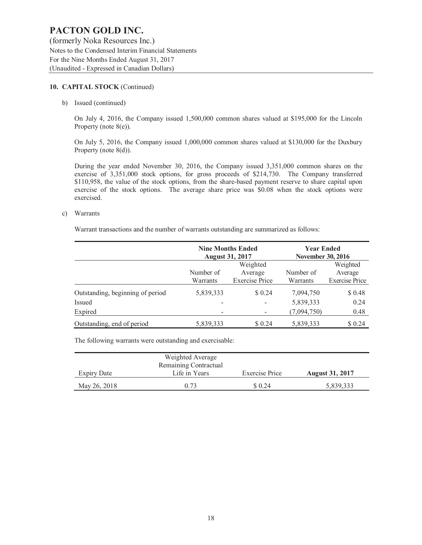(formerly Noka Resources Inc.) Notes to the Condensed Interim Financial Statements For the Nine Months Ended August 31, 2017 (Unaudited - Expressed in Canadian Dollars)

### **10. CAPITAL STOCK** (Continued)

b) Issued (continued)

On July 4, 2016, the Company issued 1,500,000 common shares valued at \$195,000 for the Lincoln Property (note 8(e)).

On July 5, 2016, the Company issued 1,000,000 common shares valued at \$130,000 for the Duxbury Property (note 8(d)).

During the year ended November 30, 2016, the Company issued 3,351,000 common shares on the exercise of 3,351,000 stock options, for gross proceeds of \$214,730. The Company transferred \$110,958, the value of the stock options, from the share-based payment reserve to share capital upon exercise of the stock options. The average share price was \$0.08 when the stock options were exercised.

c) Warrants

Warrant transactions and the number of warrants outstanding are summarized as follows:

|                                  | <b>August 31, 2017</b> | <b>Nine Months Ended</b> | <b>Year Ended</b><br><b>November 30, 2016</b> |                       |
|----------------------------------|------------------------|--------------------------|-----------------------------------------------|-----------------------|
|                                  | Number of              | Weighted<br>Average      | Number of                                     | Weighted<br>Average   |
|                                  | Warrants               | <b>Exercise Price</b>    | Warrants                                      | <b>Exercise Price</b> |
| Outstanding, beginning of period | 5,839,333              | \$0.24                   | 7,094,750                                     | \$ 0.48               |
| <b>Issued</b>                    |                        |                          | 5,839,333                                     | 0.24                  |
| Expired                          |                        |                          | (7,094,750)                                   | 0.48                  |
| Outstanding, end of period       | 5,839,333              | \$ 0.24                  | 5,839,333                                     | \$0.24                |

The following warrants were outstanding and exercisable:

|                    | Weighted Average      |                |                        |
|--------------------|-----------------------|----------------|------------------------|
|                    | Remaining Contractual |                |                        |
| <b>Expiry Date</b> | Life in Years         | Exercise Price | <b>August 31, 2017</b> |
| May 26, 2018       | 0.73                  | \$0.24         | 5,839,333              |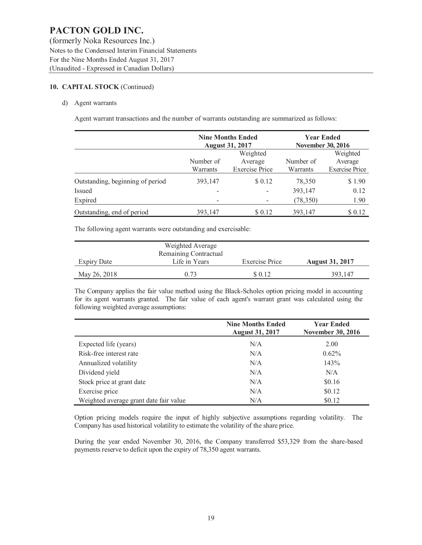(formerly Noka Resources Inc.) Notes to the Condensed Interim Financial Statements For the Nine Months Ended August 31, 2017 (Unaudited - Expressed in Canadian Dollars)

# **10. CAPITAL STOCK** (Continued)

### d) Agent warrants

Agent warrant transactions and the number of warrants outstanding are summarized as follows:

|                                  |                          | <b>Nine Months Ended</b><br><b>August 31, 2017</b> | <b>Year Ended</b><br><b>November 30, 2016</b> |                                              |
|----------------------------------|--------------------------|----------------------------------------------------|-----------------------------------------------|----------------------------------------------|
|                                  | Number of<br>Warrants    | Weighted<br>Average<br><b>Exercise Price</b>       | Number of<br>Warrants                         | Weighted<br>Average<br><b>Exercise Price</b> |
| Outstanding, beginning of period | 393,147                  | \$ 0.12                                            | 78,350                                        | \$1.90                                       |
| Issued                           |                          |                                                    | 393,147                                       | 0.12                                         |
| Expired                          | $\overline{\phantom{0}}$ |                                                    | (78,350)                                      | 1.90                                         |
| Outstanding, end of period       | 393.147                  | \$ 0.12                                            | 393,147                                       | \$ 0.12                                      |

The following agent warrants were outstanding and exercisable:

|              | Weighted Average      |                |                        |
|--------------|-----------------------|----------------|------------------------|
|              | Remaining Contractual |                |                        |
| Expiry Date  | Life in Years         | Exercise Price | <b>August 31, 2017</b> |
| May 26, 2018 | 0.73                  | \$ 0.12        | 393,147                |

The Company applies the fair value method using the Black-Scholes option pricing model in accounting for its agent warrants granted. The fair value of each agent's warrant grant was calculated using the following weighted average assumptions:

|                                        | <b>Nine Months Ended</b><br><b>August 31, 2017</b> | <b>Year Ended</b><br><b>November 30, 2016</b> |  |  |
|----------------------------------------|----------------------------------------------------|-----------------------------------------------|--|--|
| Expected life (years)                  | N/A                                                | 2.00                                          |  |  |
| Risk-free interest rate                | N/A                                                | $0.62\%$                                      |  |  |
| Annualized volatility                  | N/A                                                | 143%                                          |  |  |
| Dividend yield                         | N/A                                                | N/A                                           |  |  |
| Stock price at grant date              | N/A                                                | \$0.16                                        |  |  |
| Exercise price                         | N/A                                                | \$0.12                                        |  |  |
| Weighted average grant date fair value | N/A                                                | \$0.12                                        |  |  |

Option pricing models require the input of highly subjective assumptions regarding volatility. The Company has used historical volatility to estimate the volatility of the share price.

During the year ended November 30, 2016, the Company transferred \$53,329 from the share-based payments reserve to deficit upon the expiry of 78,350 agent warrants.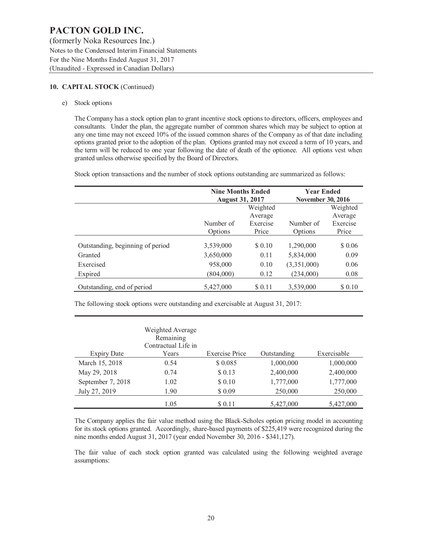(formerly Noka Resources Inc.) Notes to the Condensed Interim Financial Statements For the Nine Months Ended August 31, 2017 (Unaudited - Expressed in Canadian Dollars)

### **10. CAPITAL STOCK** (Continued)

e) Stock options

The Company has a stock option plan to grant incentive stock options to directors, officers, employees and consultants. Under the plan, the aggregate number of common shares which may be subject to option at any one time may not exceed 10% of the issued common shares of the Company as of that date including options granted prior to the adoption of the plan. Options granted may not exceed a term of 10 years, and the term will be reduced to one year following the date of death of the optionee. All options vest when granted unless otherwise specified by the Board of Directors.

Stock option transactions and the number of stock options outstanding are summarized as follows:

|                                  | <b>Nine Months Ended</b><br><b>August 31, 2017</b> |                              | <b>Year Ended</b><br><b>November 30, 2016</b> |                              |  |
|----------------------------------|----------------------------------------------------|------------------------------|-----------------------------------------------|------------------------------|--|
|                                  | Weighted                                           |                              |                                               | Weighted                     |  |
|                                  | Number of<br>Options                               | Average<br>Exercise<br>Price | Number of<br>Options                          | Average<br>Exercise<br>Price |  |
| Outstanding, beginning of period | 3,539,000                                          | \$0.10                       | 1,290,000                                     | \$0.06                       |  |
| Granted                          | 3,650,000                                          | 0.11                         | 5,834,000                                     | 0.09                         |  |
| Exercised                        | 958,000                                            | 0.10                         | (3,351,000)                                   | 0.06                         |  |
| Expired                          | (804,000)                                          | 0.12                         | (234,000)                                     | 0.08                         |  |
| Outstanding, end of period       | 5,427,000                                          | \$ 0.11                      | 3,539,000                                     | \$ 0.10                      |  |

The following stock options were outstanding and exercisable at August 31, 2017:

|                   | Weighted Average<br>Remaining<br>Contractual Life in |                       |             |             |
|-------------------|------------------------------------------------------|-----------------------|-------------|-------------|
| Expiry Date       | Years                                                | <b>Exercise Price</b> | Outstanding | Exercisable |
| March 15, 2018    | 0.54                                                 | \$0.085               | 1,000,000   | 1,000,000   |
| May 29, 2018      | 0.74                                                 | \$0.13                | 2,400,000   | 2,400,000   |
| September 7, 2018 | 1.02                                                 | \$ 0.10               | 1,777,000   | 1,777,000   |
| July 27, 2019     | 1.90                                                 | \$ 0.09               | 250,000     | 250,000     |
|                   | 1.05                                                 | \$ 0.11               | 5,427,000   | 5,427,000   |

The Company applies the fair value method using the Black-Scholes option pricing model in accounting for its stock options granted. Accordingly, share-based payments of \$225,419 were recognized during the nine months ended August 31, 2017 (year ended November 30, 2016 - \$341,127).

The fair value of each stock option granted was calculated using the following weighted average assumptions: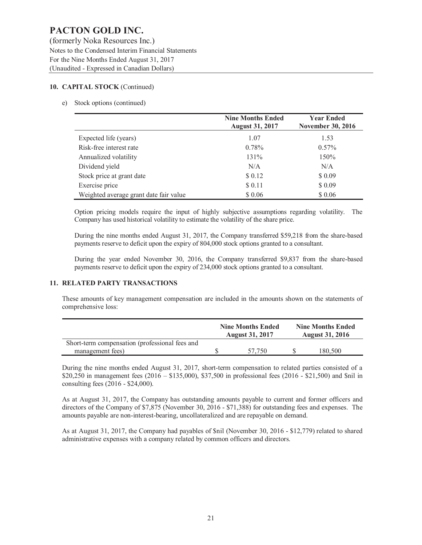(formerly Noka Resources Inc.) Notes to the Condensed Interim Financial Statements For the Nine Months Ended August 31, 2017 (Unaudited - Expressed in Canadian Dollars)

### **10. CAPITAL STOCK** (Continued)

### e) Stock options (continued)

|                                        | <b>Nine Months Ended</b><br><b>August 31, 2017</b> | <b>Year Ended</b><br><b>November 30, 2016</b> |  |  |
|----------------------------------------|----------------------------------------------------|-----------------------------------------------|--|--|
| Expected life (years)                  | 1.07                                               | 1.53                                          |  |  |
| Risk-free interest rate                | 0.78%                                              | $0.57\%$                                      |  |  |
| Annualized volatility                  | 131%                                               | 150%                                          |  |  |
| Dividend yield                         | N/A                                                | N/A                                           |  |  |
| Stock price at grant date              | \$0.12                                             | \$ 0.09                                       |  |  |
| Exercise price                         | \$ 0.11                                            | \$0.09                                        |  |  |
| Weighted average grant date fair value | \$ 0.06                                            | \$ 0.06                                       |  |  |

Option pricing models require the input of highly subjective assumptions regarding volatility. The Company has used historical volatility to estimate the volatility of the share price.

During the nine months ended August 31, 2017, the Company transferred \$59,218 from the share-based payments reserve to deficit upon the expiry of 804,000 stock options granted to a consultant.

During the year ended November 30, 2016, the Company transferred \$9,837 from the share-based payments reserve to deficit upon the expiry of 234,000 stock options granted to a consultant.

### **11. RELATED PARTY TRANSACTIONS**

These amounts of key management compensation are included in the amounts shown on the statements of comprehensive loss:

|                                                | <b>Nine Months Ended</b><br><b>August 31, 2017</b> | <b>Nine Months Ended</b><br><b>August 31, 2016</b> |         |  |
|------------------------------------------------|----------------------------------------------------|----------------------------------------------------|---------|--|
| Short-term compensation (professional fees and |                                                    |                                                    |         |  |
| management fees)                               | 57.750                                             |                                                    | 180.500 |  |

During the nine months ended August 31, 2017, short-term compensation to related parties consisted of a \$20,250 in management fees (2016 – \$135,000), \$37,500 in professional fees (2016 - \$21,500) and \$nil in consulting fees (2016 - \$24,000).

As at August 31, 2017, the Company has outstanding amounts payable to current and former officers and directors of the Company of \$7,875 (November 30, 2016 - \$71,388) for outstanding fees and expenses. The amounts payable are non-interest-bearing, uncollateralized and are repayable on demand.

As at August 31, 2017, the Company had payables of \$nil (November 30, 2016 - \$12,779) related to shared administrative expenses with a company related by common officers and directors.